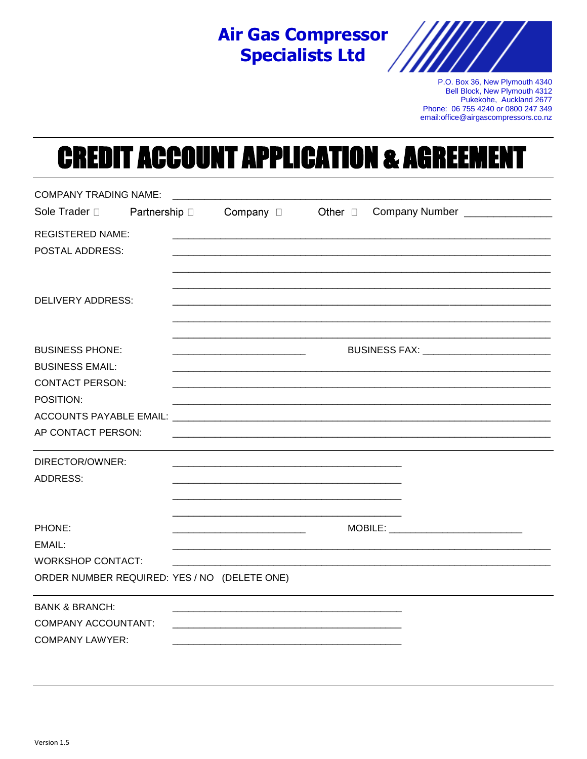# **Air Gas Compressor Specialists Ltd**



P.O. Box 36, New Plymouth 4340 Bell Block, New Plymouth 4312 Pukekohe, Auckland 2677 Phone: 06 755 4240 or 0800 247 349 email:office@airgascompressors.co.nz

### **CREDIT ACCOUNT APPLICATION & AGREE** E π

| <b>COMPANY TRADING NAME:</b> |                                              |                                 |                                                                                                                                                                                                                                |                                          |
|------------------------------|----------------------------------------------|---------------------------------|--------------------------------------------------------------------------------------------------------------------------------------------------------------------------------------------------------------------------------|------------------------------------------|
| Sole Trader D                |                                              | Partnership □ Company □ Other □ |                                                                                                                                                                                                                                | Company Number _______________           |
| <b>REGISTERED NAME:</b>      |                                              |                                 |                                                                                                                                                                                                                                |                                          |
| POSTAL ADDRESS:              |                                              |                                 |                                                                                                                                                                                                                                |                                          |
|                              |                                              |                                 |                                                                                                                                                                                                                                |                                          |
| <b>DELIVERY ADDRESS:</b>     |                                              |                                 |                                                                                                                                                                                                                                |                                          |
| <b>BUSINESS PHONE:</b>       |                                              |                                 |                                                                                                                                                                                                                                | BUSINESS FAX: __________________________ |
| <b>BUSINESS EMAIL:</b>       |                                              |                                 |                                                                                                                                                                                                                                |                                          |
| <b>CONTACT PERSON:</b>       |                                              |                                 |                                                                                                                                                                                                                                |                                          |
| POSITION:                    |                                              |                                 |                                                                                                                                                                                                                                |                                          |
|                              |                                              |                                 |                                                                                                                                                                                                                                |                                          |
| AP CONTACT PERSON:           |                                              |                                 |                                                                                                                                                                                                                                |                                          |
| DIRECTOR/OWNER:              |                                              |                                 |                                                                                                                                                                                                                                |                                          |
| <b>ADDRESS:</b>              |                                              |                                 |                                                                                                                                                                                                                                |                                          |
|                              |                                              |                                 |                                                                                                                                                                                                                                |                                          |
| PHONE:                       |                                              |                                 | MOBILE: Annual Mobile and American control of the Second Second Second Second Second Second Second Second Second Second Second Second Second Second Second Second Second Second Second Second Second Second Second Second Seco |                                          |
| EMAIL:                       |                                              |                                 |                                                                                                                                                                                                                                |                                          |
| <b>WORKSHOP CONTACT:</b>     |                                              |                                 |                                                                                                                                                                                                                                |                                          |
|                              | ORDER NUMBER REQUIRED: YES / NO (DELETE ONE) |                                 |                                                                                                                                                                                                                                |                                          |
| <b>BANK &amp; BRANCH:</b>    |                                              |                                 |                                                                                                                                                                                                                                |                                          |
| <b>COMPANY ACCOUNTANT:</b>   |                                              |                                 |                                                                                                                                                                                                                                |                                          |
| <b>COMPANY LAWYER:</b>       |                                              |                                 |                                                                                                                                                                                                                                |                                          |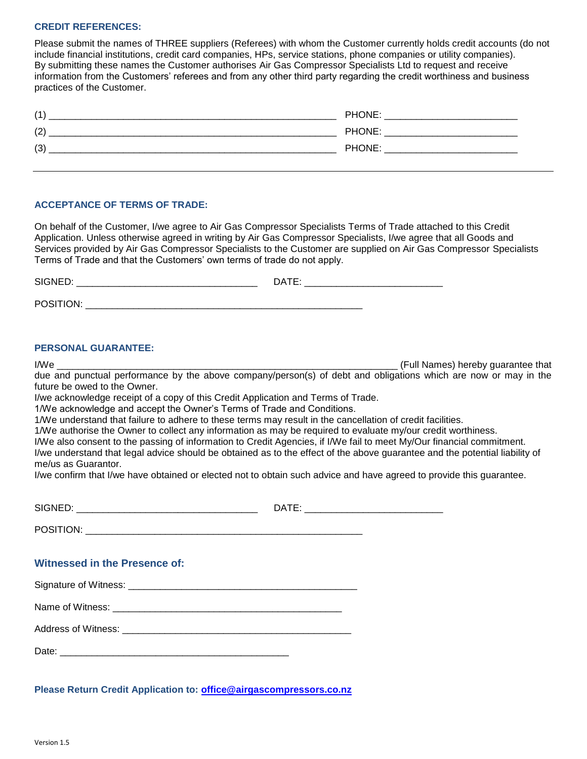# **CREDIT REFERENCES:**

Please submit the names of THREE suppliers (Referees) with whom the Customer currently holds credit accounts (do not include financial institutions, credit card companies, HPs, service stations, phone companies or utility companies). By submitting these names the Customer authorises Air Gas Compressor Specialists Ltd to request and receive information from the Customers' referees and from any other third party regarding the credit worthiness and business practices of the Customer.

| (1) | <b>PHONE</b>        |
|-----|---------------------|
| (2) | <b>PHONE</b>        |
| (3) | <b>PHONE</b><br>. . |

# **ACCEPTANCE OF TERMS OF TRADE:**

On behalf of the Customer, I/we agree to Air Gas Compressor Specialists Terms of Trade attached to this Credit Application. Unless otherwise agreed in writing by Air Gas Compressor Specialists, I/we agree that all Goods and Services provided by Air Gas Compressor Specialists to the Customer are supplied on Air Gas Compressor Specialists Terms of Trade and that the Customers' own terms of trade do not apply.

| SIGNED:               | DATE: |
|-----------------------|-------|
| POSITION <sup>.</sup> |       |

# **PERSONAL GUARANTEE:**

I/We \_\_\_\_\_\_\_\_\_\_\_\_\_\_\_\_\_\_\_\_\_\_\_\_\_\_\_\_\_\_\_\_\_\_\_\_\_\_\_\_\_\_\_\_\_\_\_\_\_\_\_\_\_\_\_\_\_\_\_\_\_\_\_\_ (Full Names) hereby guarantee that due and punctual performance by the above company/person(s) of debt and obligations which are now or may in the future be owed to the Owner.

I/we acknowledge receipt of a copy of this Credit Application and Terms of Trade.

1/We acknowledge and accept the Owner's Terms of Trade and Conditions.

1/We understand that failure to adhere to these terms may result in the cancellation of credit facilities.

1/We authorise the Owner to collect any information as may be required to evaluate my/our credit worthiness.

I/We also consent to the passing of information to Credit Agencies, if I/We fail to meet My/Our financial commitment.

I/we understand that legal advice should be obtained as to the effect of the above guarantee and the potential liability of me/us as Guarantor.

I/we confirm that I/we have obtained or elected not to obtain such advice and have agreed to provide this guarantee.

| Witnessed in the Presence of: |  |
|-------------------------------|--|
|                               |  |
|                               |  |
|                               |  |
|                               |  |
|                               |  |

**Please Return Credit Application to: [office@airgascompressors.co.nz](mailto:office@airgascompressors.co.nz)**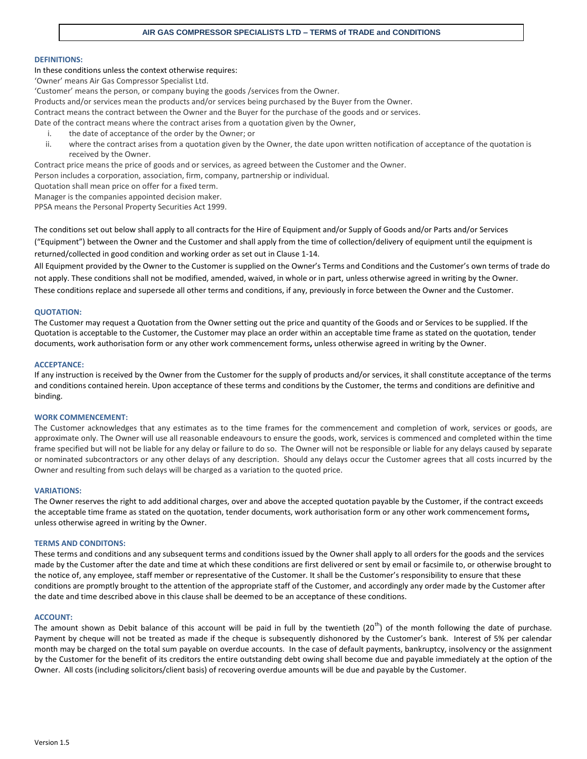#### **DEFINITIONS:**

#### In these conditions unless the context otherwise requires:

'Owner' means Air Gas Compressor Specialist Ltd.

'Customer' means the person, or company buying the goods /services from the Owner.

Products and/or services mean the products and/or services being purchased by the Buyer from the Owner.

Contract means the contract between the Owner and the Buyer for the purchase of the goods and or services.

Date of the contract means where the contract arises from a quotation given by the Owner,

- i. the date of acceptance of the order by the Owner; or
- ii. where the contract arises from a quotation given by the Owner, the date upon written notification of acceptance of the quotation is received by the Owner.

Contract price means the price of goods and or services, as agreed between the Customer and the Owner.

Person includes a corporation, association, firm, company, partnership or individual.

Quotation shall mean price on offer for a fixed term.

Manager is the companies appointed decision maker.

PPSA means the Personal Property Securities Act 1999.

The conditions set out below shall apply to all contracts for the Hire of Equipment and/or Supply of Goods and/or Parts and/or Services ("Equipment") between the Owner and the Customer and shall apply from the time of collection/delivery of equipment until the equipment is returned/collected in good condition and working order as set out in Clause 1-14.

All Equipment provided by the Owner to the Customer is supplied on the Owner's Terms and Conditions and the Customer's own terms of trade do not apply. These conditions shall not be modified, amended, waived, in whole or in part, unless otherwise agreed in writing by the Owner. These conditions replace and supersede all other terms and conditions, if any, previously in force between the Owner and the Customer.

#### **QUOTATION:**

The Customer may request a Quotation from the Owner setting out the price and quantity of the Goods and or Services to be supplied. If the Quotation is acceptable to the Customer, the Customer may place an order within an acceptable time frame as stated on the quotation, tender documents, work authorisation form or any other work commencement forms**,** unless otherwise agreed in writing by the Owner.

#### **ACCEPTANCE:**

If any instruction is received by the Owner from the Customer for the supply of products and/or services, it shall constitute acceptance of the terms and conditions contained herein. Upon acceptance of these terms and conditions by the Customer, the terms and conditions are definitive and binding.

#### **WORK COMMENCEMENT:**

The Customer acknowledges that any estimates as to the time frames for the commencement and completion of work, services or goods, are approximate only. The Owner will use all reasonable endeavours to ensure the goods, work, services is commenced and completed within the time frame specified but will not be liable for any delay or failure to do so. The Owner will not be responsible or liable for any delays caused by separate or nominated subcontractors or any other delays of any description. Should any delays occur the Customer agrees that all costs incurred by the Owner and resulting from such delays will be charged as a variation to the quoted price.

#### **VARIATIONS:**

The Owner reserves the right to add additional charges, over and above the accepted quotation payable by the Customer, if the contract exceeds the acceptable time frame as stated on the quotation, tender documents, work authorisation form or any other work commencement forms**,**  unless otherwise agreed in writing by the Owner.

#### **TERMS AND CONDITONS:**

These terms and conditions and any subsequent terms and conditions issued by the Owner shall apply to all orders for the goods and the services made by the Customer after the date and time at which these conditions are first delivered or sent by email or facsimile to, or otherwise brought to the notice of, any employee, staff member or representative of the Customer. It shall be the Customer's responsibility to ensure that these conditions are promptly brought to the attention of the appropriate staff of the Customer, and accordingly any order made by the Customer after the date and time described above in this clause shall be deemed to be an acceptance of these conditions.

#### **ACCOUNT:**

The amount shown as Debit balance of this account will be paid in full by the twentieth  $(20<sup>th</sup>)$  of the month following the date of purchase. Payment by cheque will not be treated as made if the cheque is subsequently dishonored by the Customer's bank. Interest of 5% per calendar month may be charged on the total sum payable on overdue accounts. In the case of default payments, bankruptcy, insolvency or the assignment by the Customer for the benefit of its creditors the entire outstanding debt owing shall become due and payable immediately at the option of the Owner. All costs (including solicitors/client basis) of recovering overdue amounts will be due and payable by the Customer.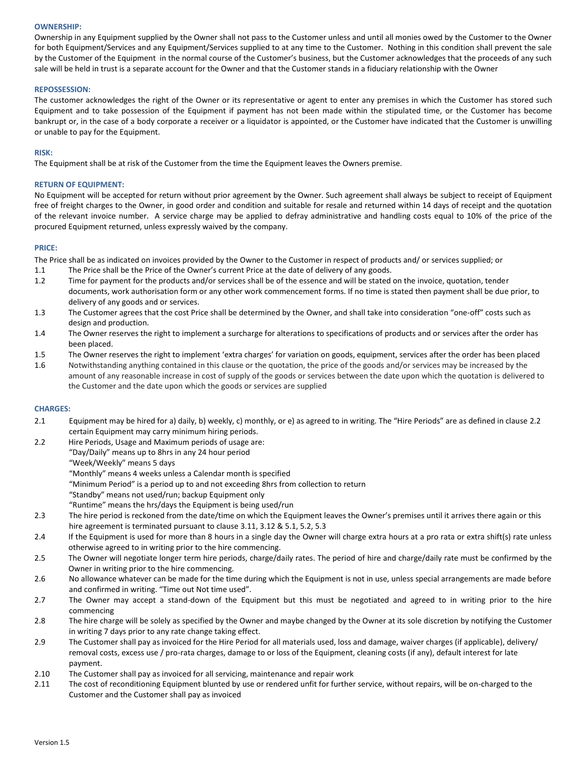#### **OWNERSHIP:**

Ownership in any Equipment supplied by the Owner shall not pass to the Customer unless and until all monies owed by the Customer to the Owner for both Equipment/Services and any Equipment/Services supplied to at any time to the Customer. Nothing in this condition shall prevent the sale by the Customer of the Equipment in the normal course of the Customer's business, but the Customer acknowledges that the proceeds of any such sale will be held in trust is a separate account for the Owner and that the Customer stands in a fiduciary relationship with the Owner

#### **REPOSSESSION:**

The customer acknowledges the right of the Owner or its representative or agent to enter any premises in which the Customer has stored such Equipment and to take possession of the Equipment if payment has not been made within the stipulated time, or the Customer has become bankrupt or, in the case of a body corporate a receiver or a liquidator is appointed, or the Customer have indicated that the Customer is unwilling or unable to pay for the Equipment.

#### **RISK:**

The Equipment shall be at risk of the Customer from the time the Equipment leaves the Owners premise.

#### **RETURN OF EQUIPMENT:**

No Equipment will be accepted for return without prior agreement by the Owner. Such agreement shall always be subject to receipt of Equipment free of freight charges to the Owner, in good order and condition and suitable for resale and returned within 14 days of receipt and the quotation of the relevant invoice number. A service charge may be applied to defray administrative and handling costs equal to 10% of the price of the procured Equipment returned, unless expressly waived by the company.

#### **PRICE:**

The Price shall be as indicated on invoices provided by the Owner to the Customer in respect of products and/ or services supplied; or

- 1.1 The Price shall be the Price of the Owner's current Price at the date of delivery of any goods.
- 1.2 Time for payment for the products and/or services shall be of the essence and will be stated on the invoice, quotation, tender documents, work authorisation form or any other work commencement forms. If no time is stated then payment shall be due prior, to delivery of any goods and or services.
- 1.3 The Customer agrees that the cost Price shall be determined by the Owner, and shall take into consideration "one-off" costs such as design and production.
- 1.4 The Owner reserves the right to implement a surcharge for alterations to specifications of products and or services after the order has been placed.
- 1.5 The Owner reserves the right to implement 'extra charges' for variation on goods, equipment, services after the order has been placed
- 1.6 Notwithstanding anything contained in this clause or the quotation, the price of the goods and/or services may be increased by the amount of any reasonable increase in cost of supply of the goods or services between the date upon which the quotation is delivered to the Customer and the date upon which the goods or services are supplied

#### **CHARGES:**

- 2.1 Equipment may be hired for a) daily, b) weekly, c) monthly, or e) as agreed to in writing. The "Hire Periods" are as defined in clause 2.2 certain Equipment may carry minimum hiring periods.
- 2.2 Hire Periods, Usage and Maximum periods of usage are: "Day/Daily" means up to 8hrs in any 24 hour period
	- "Week/Weekly" means 5 days
	- "Monthly" means 4 weeks unless a Calendar month is specified
	- "Minimum Period" is a period up to and not exceeding 8hrs from collection to return
	- "Standby" means not used/run; backup Equipment only
	- "Runtime" means the hrs/days the Equipment is being used/run
- 2.3 The hire period is reckoned from the date/time on which the Equipment leaves the Owner's premises until it arrives there again or this hire agreement is terminated pursuant to clause 3.11, 3.12 & 5.1, 5.2, 5.3
- 2.4 If the Equipment is used for more than 8 hours in a single day the Owner will charge extra hours at a pro rata or extra shift(s) rate unless otherwise agreed to in writing prior to the hire commencing.
- 2.5 The Owner will negotiate longer term hire periods, charge/daily rates. The period of hire and charge/daily rate must be confirmed by the Owner in writing prior to the hire commencing.
- 2.6 No allowance whatever can be made for the time during which the Equipment is not in use, unless special arrangements are made before and confirmed in writing. "Time out Not time used".
- 2.7 The Owner may accept a stand-down of the Equipment but this must be negotiated and agreed to in writing prior to the hire commencing
- 2.8 The hire charge will be solely as specified by the Owner and maybe changed by the Owner at its sole discretion by notifying the Customer in writing 7 days prior to any rate change taking effect.
- 2.9 The Customer shall pay as invoiced for the Hire Period for all materials used, loss and damage, waiver charges (if applicable), delivery/ removal costs, excess use / pro-rata charges, damage to or loss of the Equipment, cleaning costs (if any), default interest for late payment.
- 2.10 The Customer shall pay as invoiced for all servicing, maintenance and repair work
- 2.11 The cost of reconditioning Equipment blunted by use or rendered unfit for further service, without repairs, will be on-charged to the Customer and the Customer shall pay as invoiced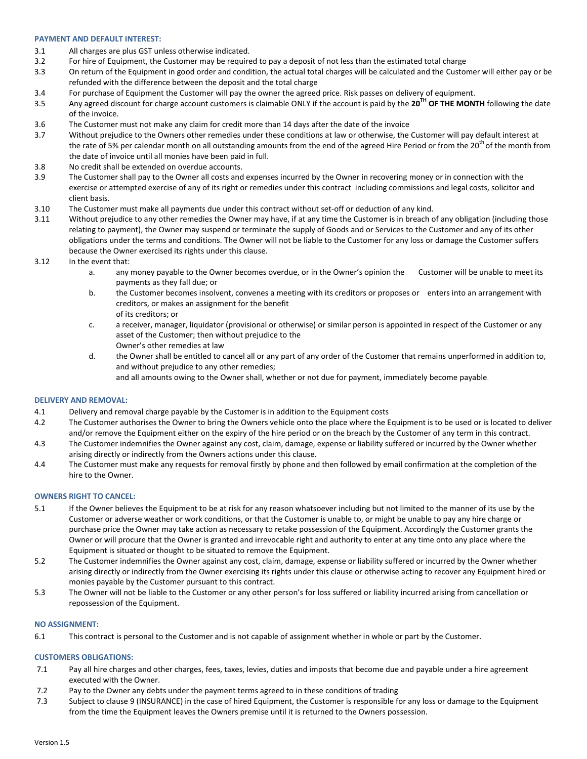#### **PAYMENT AND DEFAULT INTEREST:**

- 3.1 All charges are plus GST unless otherwise indicated.
- 3.2 For hire of Equipment, the Customer may be required to pay a deposit of not less than the estimated total charge
- 3.3 On return of the Equipment in good order and condition, the actual total charges will be calculated and the Customer will either pay or be refunded with the difference between the deposit and the total charge
- 3.4 For purchase of Equipment the Customer will pay the owner the agreed price. Risk passes on delivery of equipment.
- 3.5 Any agreed discount for charge account customers is claimable ONLY if the account is paid by the **20TH OF THE MONTH** following the date of the invoice.
- 3.6 The Customer must not make any claim for credit more than 14 days after the date of the invoice
- 3.7 Without prejudice to the Owners other remedies under these conditions at law or otherwise, the Customer will pay default interest at the rate of 5% per calendar month on all outstanding amounts from the end of the agreed Hire Period or from the 20<sup>th</sup> of the month from the date of invoice until all monies have been paid in full.
- 3.8 No credit shall be extended on overdue accounts.
- 3.9 The Customer shall pay to the Owner all costs and expenses incurred by the Owner in recovering money or in connection with the exercise or attempted exercise of any of its right or remedies under this contract including commissions and legal costs, solicitor and client basis.
- 3.10 The Customer must make all payments due under this contract without set-off or deduction of any kind.
- 3.11 Without prejudice to any other remedies the Owner may have, if at any time the Customer is in breach of any obligation (including those relating to payment), the Owner may suspend or terminate the supply of Goods and or Services to the Customer and any of its other obligations under the terms and conditions. The Owner will not be liable to the Customer for any loss or damage the Customer suffers because the Owner exercised its rights under this clause.
- 3.12 In the event that:
	- a. any money payable to the Owner becomes overdue, or in the Owner's opinion the Customer will be unable to meet its payments as they fall due; or
	- b. the Customer becomes insolvent, convenes a meeting with its creditors or proposes or enters into an arrangement with creditors, or makes an assignment for the benefit of its creditors; or
	- c. a receiver, manager, liquidator (provisional or otherwise) or similar person is appointed in respect of the Customer or any asset of the Customer; then without prejudice to the Owner's other remedies at law
	- d. the Owner shall be entitled to cancel all or any part of any order of the Customer that remains unperformed in addition to, and without prejudice to any other remedies;
		- and all amounts owing to the Owner shall, whether or not due for payment, immediately become payable.

#### **DELIVERY AND REMOVAL:**

- 4.1 Delivery and removal charge payable by the Customer is in addition to the Equipment costs
- 4.2 The Customer authorises the Owner to bring the Owners vehicle onto the place where the Equipment is to be used or is located to deliver and/or remove the Equipment either on the expiry of the hire period or on the breach by the Customer of any term in this contract.
- 4.3 The Customer indemnifies the Owner against any cost, claim, damage, expense or liability suffered or incurred by the Owner whether arising directly or indirectly from the Owners actions under this clause.
- 4.4 The Customer must make any requests for removal firstly by phone and then followed by email confirmation at the completion of the hire to the Owner.

#### **OWNERS RIGHT TO CANCEL:**

- 5.1 If the Owner believes the Equipment to be at risk for any reason whatsoever including but not limited to the manner of its use by the Customer or adverse weather or work conditions, or that the Customer is unable to, or might be unable to pay any hire charge or purchase price the Owner may take action as necessary to retake possession of the Equipment. Accordingly the Customer grants the Owner or will procure that the Owner is granted and irrevocable right and authority to enter at any time onto any place where the Equipment is situated or thought to be situated to remove the Equipment.
- 5.2 The Customer indemnifies the Owner against any cost, claim, damage, expense or liability suffered or incurred by the Owner whether arising directly or indirectly from the Owner exercising its rights under this clause or otherwise acting to recover any Equipment hired or monies payable by the Customer pursuant to this contract.
- 5.3 The Owner will not be liable to the Customer or any other person's for loss suffered or liability incurred arising from cancellation or repossession of the Equipment.

#### **NO ASSIGNMENT:**

6.1 This contract is personal to the Customer and is not capable of assignment whether in whole or part by the Customer.

#### **CUSTOMERS OBLIGATIONS:**

- 7.1 Pay all hire charges and other charges, fees, taxes, levies, duties and imposts that become due and payable under a hire agreement executed with the Owner.
- 7.2 Pay to the Owner any debts under the payment terms agreed to in these conditions of trading
- 7.3 Subject to clause 9 (INSURANCE) in the case of hired Equipment, the Customer is responsible for any loss or damage to the Equipment from the time the Equipment leaves the Owners premise until it is returned to the Owners possession.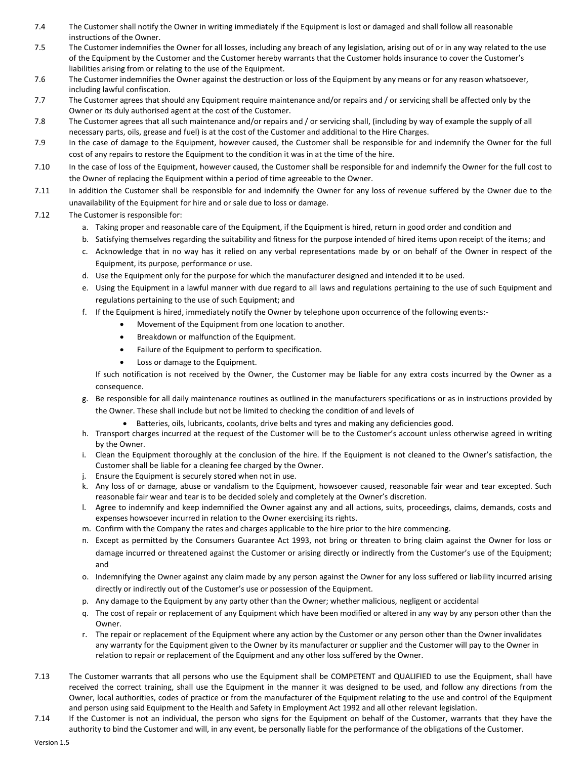- 7.4 The Customer shall notify the Owner in writing immediately if the Equipment is lost or damaged and shall follow all reasonable instructions of the Owner.
- 7.5 The Customer indemnifies the Owner for all losses, including any breach of any legislation, arising out of or in any way related to the use of the Equipment by the Customer and the Customer hereby warrants that the Customer holds insurance to cover the Customer's liabilities arising from or relating to the use of the Equipment.
- 7.6 The Customer indemnifies the Owner against the destruction or loss of the Equipment by any means or for any reason whatsoever, including lawful confiscation.
- 7.7 The Customer agrees that should any Equipment require maintenance and/or repairs and / or servicing shall be affected only by the Owner or its duly authorised agent at the cost of the Customer.
- 7.8 The Customer agrees that all such maintenance and/or repairs and / or servicing shall, (including by way of example the supply of all necessary parts, oils, grease and fuel) is at the cost of the Customer and additional to the Hire Charges.
- 7.9 In the case of damage to the Equipment, however caused, the Customer shall be responsible for and indemnify the Owner for the full cost of any repairs to restore the Equipment to the condition it was in at the time of the hire.
- 7.10 In the case of loss of the Equipment, however caused, the Customer shall be responsible for and indemnify the Owner for the full cost to the Owner of replacing the Equipment within a period of time agreeable to the Owner.
- 7.11 In addition the Customer shall be responsible for and indemnify the Owner for any loss of revenue suffered by the Owner due to the unavailability of the Equipment for hire and or sale due to loss or damage.
- 7.12 The Customer is responsible for:
	- a. Taking proper and reasonable care of the Equipment, if the Equipment is hired, return in good order and condition and
	- b. Satisfying themselves regarding the suitability and fitness for the purpose intended of hired items upon receipt of the items; and
	- c. Acknowledge that in no way has it relied on any verbal representations made by or on behalf of the Owner in respect of the Equipment, its purpose, performance or use.
	- d. Use the Equipment only for the purpose for which the manufacturer designed and intended it to be used.
	- e. Using the Equipment in a lawful manner with due regard to all laws and regulations pertaining to the use of such Equipment and regulations pertaining to the use of such Equipment; and
	- f. If the Equipment is hired, immediately notify the Owner by telephone upon occurrence of the following events:-
		- Movement of the Equipment from one location to another.
		- Breakdown or malfunction of the Equipment.
		- Failure of the Equipment to perform to specification.
		- Loss or damage to the Equipment.

If such notification is not received by the Owner, the Customer may be liable for any extra costs incurred by the Owner as a consequence.

- g. Be responsible for all daily maintenance routines as outlined in the manufacturers specifications or as in instructions provided by the Owner. These shall include but not be limited to checking the condition of and levels of
	- Batteries, oils, lubricants, coolants, drive belts and tyres and making any deficiencies good.
- h. Transport charges incurred at the request of the Customer will be to the Customer's account unless otherwise agreed in writing by the Owner.
- i. Clean the Equipment thoroughly at the conclusion of the hire. If the Equipment is not cleaned to the Owner's satisfaction, the Customer shall be liable for a cleaning fee charged by the Owner.
- j. Ensure the Equipment is securely stored when not in use.
- k. Any loss of or damage, abuse or vandalism to the Equipment, howsoever caused, reasonable fair wear and tear excepted. Such reasonable fair wear and tear is to be decided solely and completely at the Owner's discretion.
- l. Agree to indemnify and keep indemnified the Owner against any and all actions, suits, proceedings, claims, demands, costs and expenses howsoever incurred in relation to the Owner exercising its rights.
- m. Confirm with the Company the rates and charges applicable to the hire prior to the hire commencing.
- n. Except as permitted by the Consumers Guarantee Act 1993, not bring or threaten to bring claim against the Owner for loss or damage incurred or threatened against the Customer or arising directly or indirectly from the Customer's use of the Equipment; and
- o. Indemnifying the Owner against any claim made by any person against the Owner for any loss suffered or liability incurred arising directly or indirectly out of the Customer's use or possession of the Equipment.
- p. Any damage to the Equipment by any party other than the Owner; whether malicious, negligent or accidental
- q. The cost of repair or replacement of any Equipment which have been modified or altered in any way by any person other than the Owner.
- r. The repair or replacement of the Equipment where any action by the Customer or any person other than the Owner invalidates any warranty for the Equipment given to the Owner by its manufacturer or supplier and the Customer will pay to the Owner in relation to repair or replacement of the Equipment and any other loss suffered by the Owner.
- 7.13 The Customer warrants that all persons who use the Equipment shall be COMPETENT and QUALIFIED to use the Equipment, shall have received the correct training, shall use the Equipment in the manner it was designed to be used, and follow any directions from the Owner, local authorities, codes of practice or from the manufacturer of the Equipment relating to the use and control of the Equipment and person using said Equipment to the Health and Safety in Employment Act 1992 and all other relevant legislation.
- 7.14 If the Customer is not an individual, the person who signs for the Equipment on behalf of the Customer, warrants that they have the authority to bind the Customer and will, in any event, be personally liable for the performance of the obligations of the Customer.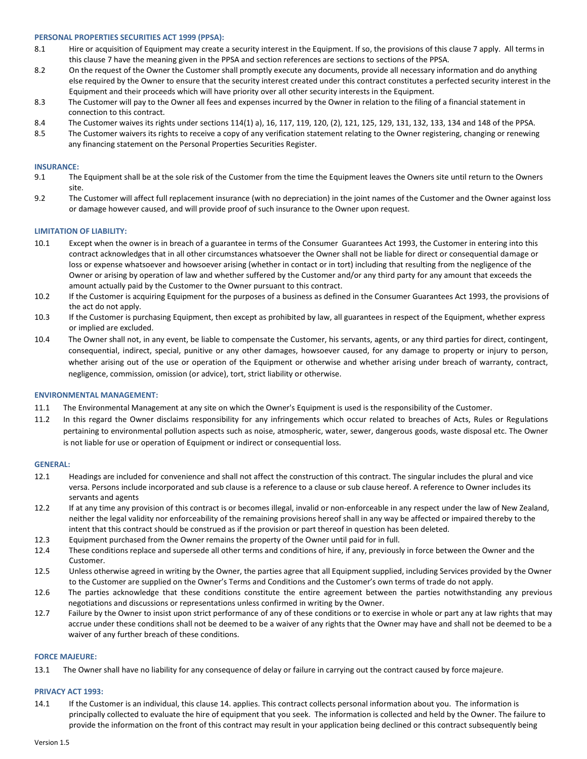#### **PERSONAL PROPERTIES SECURITIES ACT 1999 (PPSA):**

- 8.1 Hire or acquisition of Equipment may create a security interest in the Equipment. If so, the provisions of this clause 7 apply. All terms in this clause 7 have the meaning given in the PPSA and section references are sections to sections of the PPSA.
- 8.2 On the request of the Owner the Customer shall promptly execute any documents, provide all necessary information and do anything else required by the Owner to ensure that the security interest created under this contract constitutes a perfected security interest in the Equipment and their proceeds which will have priority over all other security interests in the Equipment.
- 8.3 The Customer will pay to the Owner all fees and expenses incurred by the Owner in relation to the filing of a financial statement in connection to this contract.
- 8.4 The Customer waives its rights under sections 114(1) a), 16, 117, 119, 120, (2), 121, 125, 129, 131, 132, 133, 134 and 148 of the PPSA.
- 8.5 The Customer waivers its rights to receive a copy of any verification statement relating to the Owner registering, changing or renewing any financing statement on the Personal Properties Securities Register.

#### **INSURANCE:**

- 9.1 The Equipment shall be at the sole risk of the Customer from the time the Equipment leaves the Owners site until return to the Owners site.
- 9.2 The Customer will affect full replacement insurance (with no depreciation) in the joint names of the Customer and the Owner against loss or damage however caused, and will provide proof of such insurance to the Owner upon request.

#### **LIMITATION OF LIABILITY:**

- 10.1 Except when the owner is in breach of a guarantee in terms of the Consumer Guarantees Act 1993, the Customer in entering into this contract acknowledges that in all other circumstances whatsoever the Owner shall not be liable for direct or consequential damage or loss or expense whatsoever and howsoever arising (whether in contact or in tort) including that resulting from the negligence of the Owner or arising by operation of law and whether suffered by the Customer and/or any third party for any amount that exceeds the amount actually paid by the Customer to the Owner pursuant to this contract.
- 10.2 If the Customer is acquiring Equipment for the purposes of a business as defined in the Consumer Guarantees Act 1993, the provisions of the act do not apply.
- 10.3 If the Customer is purchasing Equipment, then except as prohibited by law, all guarantees in respect of the Equipment, whether express or implied are excluded.
- 10.4 The Owner shall not, in any event, be liable to compensate the Customer, his servants, agents, or any third parties for direct, contingent, consequential, indirect, special, punitive or any other damages, howsoever caused, for any damage to property or injury to person, whether arising out of the use or operation of the Equipment or otherwise and whether arising under breach of warranty, contract, negligence, commission, omission (or advice), tort, strict liability or otherwise.

#### **ENVIRONMENTAL MANAGEMENT:**

- 11.1 The Environmental Management at any site on which the Owner's Equipment is used is the responsibility of the Customer.
- 11.2 In this regard the Owner disclaims responsibility for any infringements which occur related to breaches of Acts, Rules or Regulations pertaining to environmental pollution aspects such as noise, atmospheric, water, sewer, dangerous goods, waste disposal etc. The Owner is not liable for use or operation of Equipment or indirect or consequential loss.

#### **GENERAL:**

- 12.1 Headings are included for convenience and shall not affect the construction of this contract. The singular includes the plural and vice versa. Persons include incorporated and sub clause is a reference to a clause or sub clause hereof. A reference to Owner includes its servants and agents
- 12.2 If at any time any provision of this contract is or becomes illegal, invalid or non-enforceable in any respect under the law of New Zealand, neither the legal validity nor enforceability of the remaining provisions hereof shall in any way be affected or impaired thereby to the intent that this contract should be construed as if the provision or part thereof in question has been deleted.
- 12.3 Equipment purchased from the Owner remains the property of the Owner until paid for in full.
- 12.4 These conditions replace and supersede all other terms and conditions of hire, if any, previously in force between the Owner and the Customer.
- 12.5 Unless otherwise agreed in writing by the Owner, the parties agree that all Equipment supplied, including Services provided by the Owner to the Customer are supplied on the Owner's Terms and Conditions and the Customer's own terms of trade do not apply.
- 12.6 The parties acknowledge that these conditions constitute the entire agreement between the parties notwithstanding any previous negotiations and discussions or representations unless confirmed in writing by the Owner.
- 12.7 Failure by the Owner to insist upon strict performance of any of these conditions or to exercise in whole or part any at law rights that may accrue under these conditions shall not be deemed to be a waiver of any rights that the Owner may have and shall not be deemed to be a waiver of any further breach of these conditions.

#### **FORCE MAJEURE:**

13.1 The Owner shall have no liability for any consequence of delay or failure in carrying out the contract caused by force majeure.

#### **PRIVACY ACT 1993:**

14.1 If the Customer is an individual, this clause 14. applies. This contract collects personal information about you. The information is principally collected to evaluate the hire of equipment that you seek. The information is collected and held by the Owner. The failure to provide the information on the front of this contract may result in your application being declined or this contract subsequently being